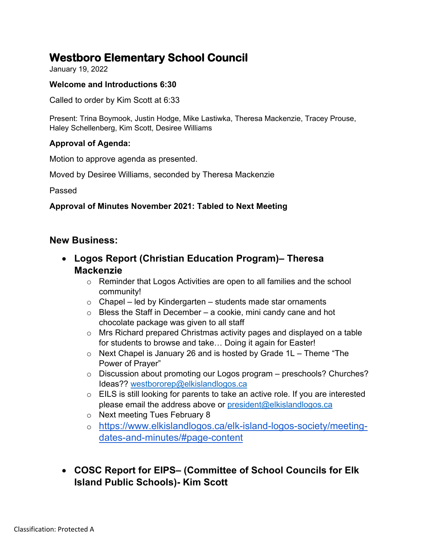# **Westboro Elementary School Council**

January 19, 2022

### **Welcome and Introductions 6:30**

Called to order by Kim Scott at 6:33

Present: Trina Boymook, Justin Hodge, Mike Lastiwka, Theresa Mackenzie, Tracey Prouse, Haley Schellenberg, Kim Scott, Desiree Williams

### **Approval of Agenda:**

Motion to approve agenda as presented.

Moved by Desiree Williams, seconded by Theresa Mackenzie

Passed

### **Approval of Minutes November 2021: Tabled to Next Meeting**

### **New Business:**

- **Logos Report (Christian Education Program)– Theresa Mackenzie**
	- o Reminder that Logos Activities are open to all families and the school community!
	- $\circ$  Chapel led by Kindergarten students made star ornaments
	- $\circ$  Bless the Staff in December a cookie, mini candy cane and hot chocolate package was given to all staff
	- o Mrs Richard prepared Christmas activity pages and displayed on a table for students to browse and take… Doing it again for Easter!
	- $\circ$  Next Chapel is January 26 and is hosted by Grade 1L Theme "The Power of Prayer"
	- o Discussion about promoting our Logos program preschools? Churches? Ideas?? [westbororep@elkislandlogos.ca](mailto:westbororep@elkislandlogos.ca)
	- o EILS is still looking for parents to take an active role. If you are interested please email the address above or [president@elkislandlogos.ca](mailto:president@elkislandlogos.ca)
	- o Next meeting Tues February 8
	- o [https://www.elkislandlogos.ca/elk-island-logos-society/meeting](https://www.elkislandlogos.ca/elk-island-logos-society/meeting-dates-and-minutes/#page-content)[dates-and-minutes/#page-content](https://www.elkislandlogos.ca/elk-island-logos-society/meeting-dates-and-minutes/#page-content)
- **COSC Report for EIPS– (Committee of School Councils for Elk Island Public Schools)- Kim Scott**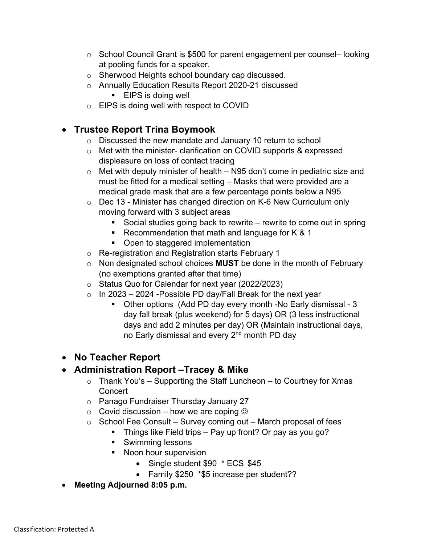- $\circ$  School Council Grant is \$500 for parent engagement per counsel– looking at pooling funds for a speaker.
- o Sherwood Heights school boundary cap discussed.
- o Annually Education Results Report 2020-21 discussed
	- **EIPS** is doing well
- o EIPS is doing well with respect to COVID

# • **Trustee Report Trina Boymook**

- o Discussed the new mandate and January 10 return to school
- o Met with the minister- clarification on COVID supports & expressed displeasure on loss of contact tracing
- $\circ$  Met with deputy minister of health N95 don't come in pediatric size and must be fitted for a medical setting – Masks that were provided are a medical grade mask that are a few percentage points below a N95
- o Dec 13 Minister has changed direction on K-6 New Curriculum only moving forward with 3 subject areas
	- Social studies going back to rewrite rewrite to come out in spring
	- Recommendation that math and language for  $K$  & 1
	- Open to staggered implementation
- o Re-registration and Registration starts February 1
- o Non designated school choices **MUST** be done in the month of February (no exemptions granted after that time)
- o Status Quo for Calendar for next year (2022/2023)
- $\circ$  In 2023 2024 Possible PD day/Fall Break for the next year
	- Other options (Add PD day every month -No Early dismissal 3 day fall break (plus weekend) for 5 days) OR (3 less instructional days and add 2 minutes per day) OR (Maintain instructional days, no Early dismissal and every 2<sup>nd</sup> month PD day

# • **No Teacher Report**

# • **Administration Report –Tracey & Mike**

- $\circ$  Thank You's Supporting the Staff Luncheon to Courtney for Xmas **Concert**
- o Panago Fundraiser Thursday January 27
- $\circ$  Covid discussion how we are coping  $\odot$
- $\circ$  School Fee Consult Survey coming out March proposal of fees
	- **Things like Field trips Pay up front? Or pay as you go?**
	- **Swimming lessons**
	- Noon hour supervision
		- Single student \$90 \* ECS \$45
		- Family \$250 \*\$5 increase per student??
- **Meeting Adjourned 8:05 p.m.**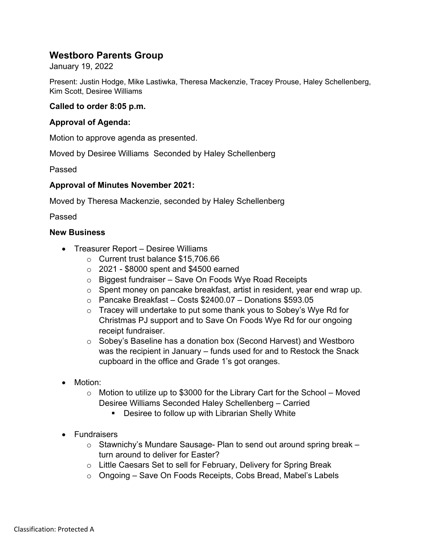## **Westboro Parents Group**

January 19, 2022

Present: Justin Hodge, Mike Lastiwka, Theresa Mackenzie, Tracey Prouse, Haley Schellenberg, Kim Scott, Desiree Williams

#### **Called to order 8:05 p.m.**

#### **Approval of Agenda:**

Motion to approve agenda as presented.

Moved by Desiree Williams Seconded by Haley Schellenberg

Passed

#### **Approval of Minutes November 2021:**

Moved by Theresa Mackenzie, seconded by Haley Schellenberg

Passed

#### **New Business**

- Treasurer Report Desiree Williams
	- o Current trust balance \$15,706.66
	- $\circ$  2021 \$8000 spent and \$4500 earned
	- o Biggest fundraiser Save On Foods Wye Road Receipts
	- o Spent money on pancake breakfast, artist in resident, year end wrap up.
	- o Pancake Breakfast Costs \$2400.07 Donations \$593.05
	- $\circ$  Tracey will undertake to put some thank yous to Sobey's Wye Rd for Christmas PJ support and to Save On Foods Wye Rd for our ongoing receipt fundraiser.
	- o Sobey's Baseline has a donation box (Second Harvest) and Westboro was the recipient in January – funds used for and to Restock the Snack cupboard in the office and Grade 1's got oranges.
- Motion:
	- $\circ$  Motion to utilize up to \$3000 for the Library Cart for the School Moved Desiree Williams Seconded Haley Schellenberg – Carried
		- **Desiree to follow up with Librarian Shelly White**
- Fundraisers
	- $\circ$  Stawnichy's Mundare Sausage- Plan to send out around spring break  $$ turn around to deliver for Easter?
	- o Little Caesars Set to sell for February, Delivery for Spring Break
	- o Ongoing Save On Foods Receipts, Cobs Bread, Mabel's Labels